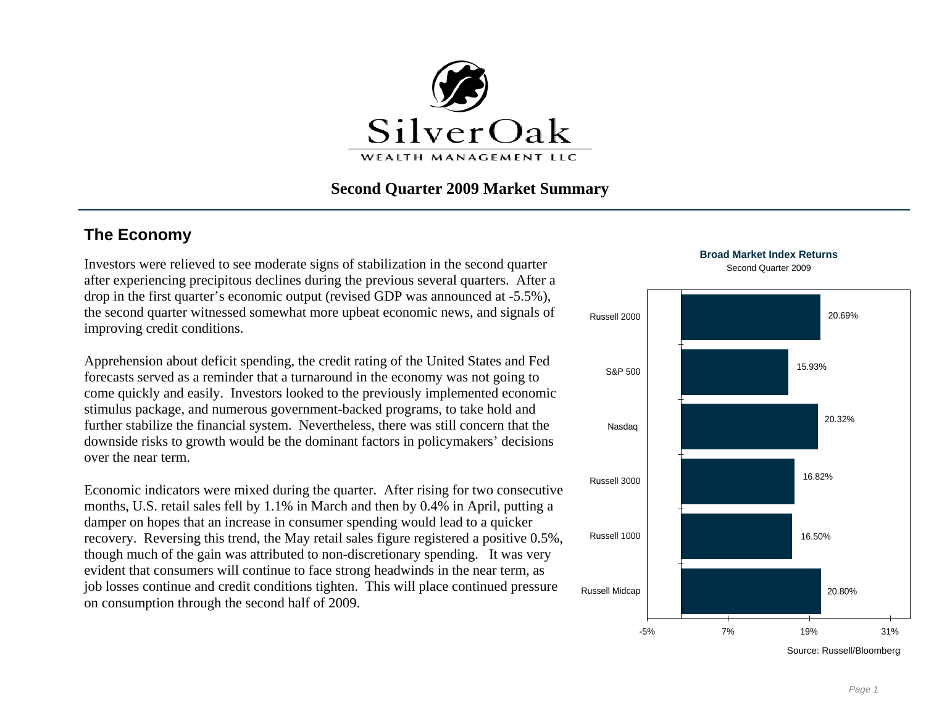

## **Second Quarter 2009 Market Summary**

# **The Economy**

Investors were relieved to see moderate signs of stabilization in the second quarter after experiencing precipitous declines during the previous several quarters. After a drop in the first quarter's economic output (revised GDP was announced at -5.5%), the second quarter witnessed somewhat more upbeat economic news, and signals of improving credit conditions.

Apprehension about deficit spending, the credit rating of the United States and Fed forecasts served as a reminder that a turnaround in the economy was not going to come quickly and easily. Investors looked to the previously implemented economic stimulus package, and numerous government-backed programs, to take hold and further stabilize the financial system. Nevertheless, there was still concern that the downside risks to growth would be the dominant factors in policymakers' decisions over the near term.

Economic indicators were mixed during the quarter. After rising for two consecutive months, U.S. retail sales fell by 1.1% in March and then by 0.4% in April, putting a damper on hopes that an increase in consumer spending would lead to a quicker recovery. Reversing this trend, the May retail sales figure registered a positive 0.5%, though much of the gain was attributed to non-discretionary spending. It was very evident that consumers will continue to face strong headwinds in the near term, as job losses continue and credit conditions tighten. This will place continued pressure on consumption through the second half of 2009.

**Broad Market Index Returns**Second Quarter 2009



Source: Russell/Bloomberg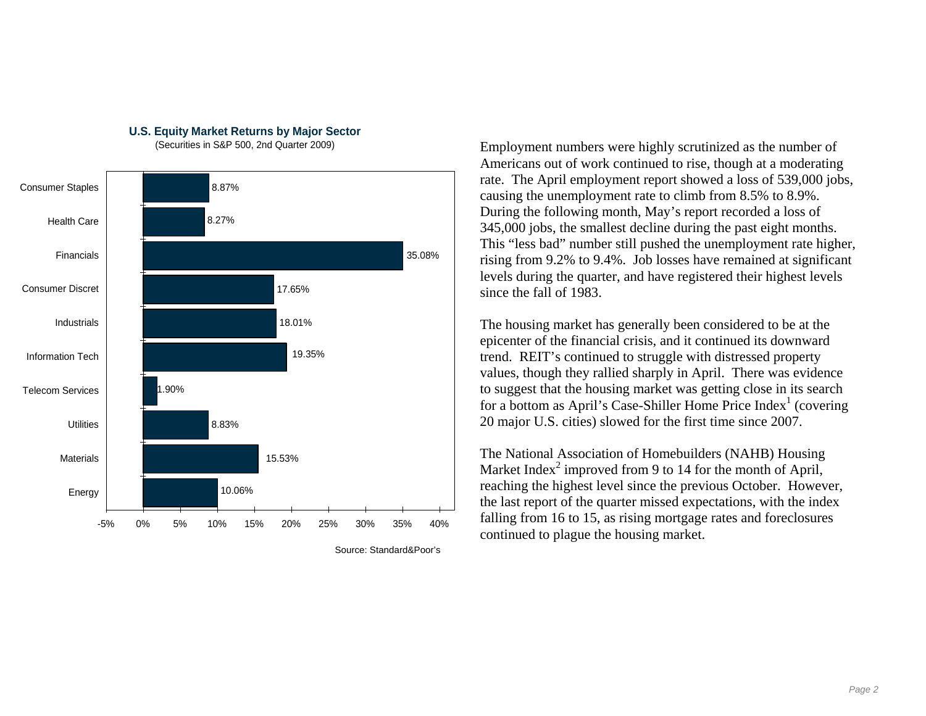

### **U.S. Equity Market Returns by Major Sector**

(Securities in S&P 500, 2nd Quarter 2009)

Employment numbers were highly scrutinized as the number of Americans out of work continued to rise, though at a moderating rate. The April employment report showed a loss of 539,000 jobs, causing the unemployment rate to climb from 8.5% to 8.9%. During the following month, May's report recorded a loss of 345,000 jobs, the smallest decline during the past eight months. This "less bad" number still pushed the unemployment rate higher, rising from 9.2% to 9.4%. Job losses have remained at significant levels during the quarter, and have registered their highest levels since the fall of 1983.

The housing market has generally been considered to be at the epicenter of the financial crisis, and it continued its downward trend. REIT's continued to struggle with distressed property values, though they rallied sharply in April. There was evidence to suggest that the housing market was getting close in its search for a bottom as April's Case-Shiller Home Price  $Index<sup>1</sup>$  (covering 20 major U.S. cities) slowed for the first time since 2007.

The National Association of Homebuilders (NAHB) Housing Market Index<sup>2</sup> improved from 9 to 14 for the month of April, reaching the highest level since the previous October. However, the last report of the quarter missed expectations, with the index falling from 16 to 15, as rising mortgage rates and foreclosures continued to plague the housing market.

Source: Standard&Poor's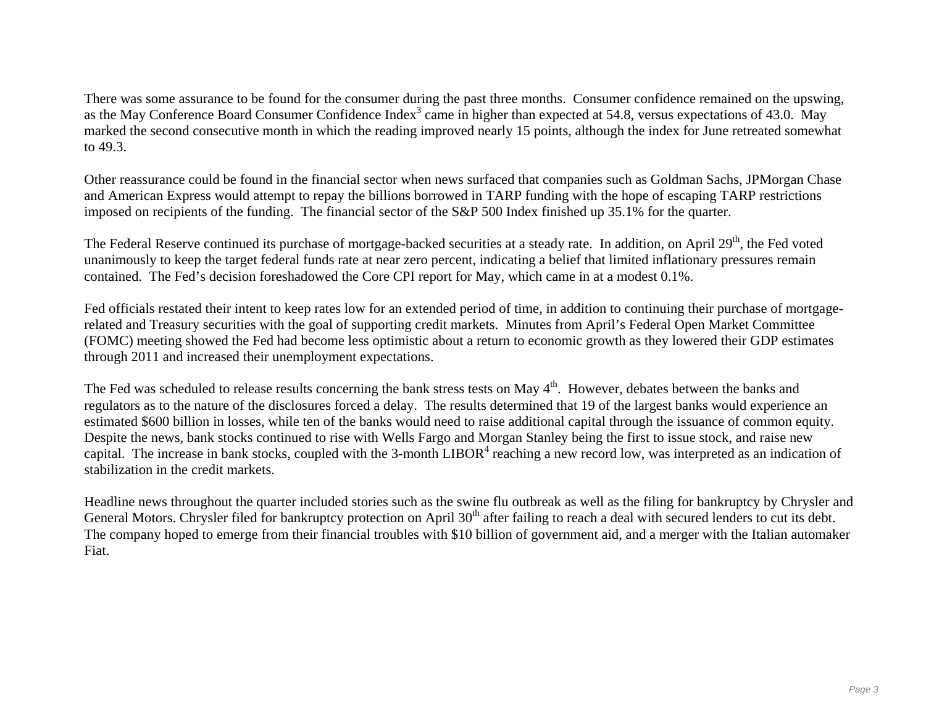There was some assurance to be found for the consumer during the past three months. Consumer confidence remained on the upswing, as the May Conference Board Consumer Confidence Index<sup>3</sup> came in higher than expected at 54.8, versus expectations of 43.0. May marked the second consecutive month in which the reading improved nearly 15 points, although the index for June retreated somewhat to 49.3.

Other reassurance could be found in the financial sector when news surfaced that companies such as Goldman Sachs, JPMorgan Chase and American Express would attempt to repay the billions borrowed in TARP funding with the hope of escaping TARP restrictions imposed on recipients of the funding. The financial sector of the S&P 500 Index finished up 35.1% for the quarter.

The Federal Reserve continued its purchase of mortgage-backed securities at a steady rate. In addition, on April 29<sup>th</sup>, the Fed voted unanimously to keep the target federal funds rate at near zero percent, indicating a belief that limited inflationary pressures remain contained. The Fed's decision foreshadowed the Core CPI report for May, which came in at a modest 0.1%.

Fed officials restated their intent to keep rates low for an extended period of time, in addition to continuing their purchase of mortgagerelated and Treasury securities with the goal of supporting credit markets. Minutes from April's Federal Open Market Committee (FOMC) meeting showed the Fed had become less optimistic about a return to economic growth as they lowered their GDP estimates through 2011 and increased their unemployment expectations.

The Fed was scheduled to release results concerning the bank stress tests on May 4<sup>th</sup>. However, debates between the banks and regulators as to the nature of the disclosures forced a delay. The results determined that 19 of the largest banks would experience an estimated \$600 billion in losses, while ten of the banks would need to raise additional capital through the issuance of common equity. Despite the news, bank stocks continued to rise with Wells Fargo and Morgan Stanley being the first to issue stock, and raise new capital. The increase in bank stocks, coupled with the 3-month  $LIBOR<sup>4</sup>$  reaching a new record low, was interpreted as an indication of stabilization in the credit markets.

Headline news throughout the quarter included stories such as the swine flu outbreak as well as the filing for bankruptcy by Chrysler and General Motors. Chrysler filed for bankruptcy protection on April 30<sup>th</sup> after failing to reach a deal with secured lenders to cut its debt. The company hoped to emerge from their financial troubles with \$10 billion of government aid, and a merger with the Italian automaker Fiat.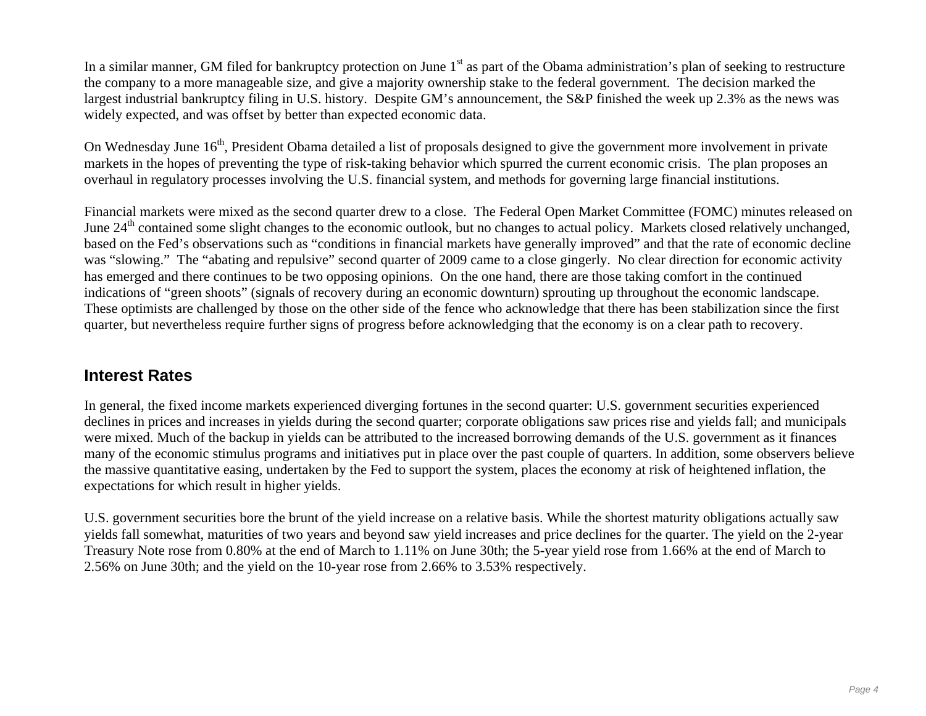In a similar manner, GM filed for bankruptcy protection on June 1<sup>st</sup> as part of the Obama administration's plan of seeking to restructure the company to a more manageable size, and give a majority ownership stake to the federal government. The decision marked the largest industrial bankruptcy filing in U.S. history. Despite GM's announcement, the S&P finished the week up 2.3% as the news was widely expected, and was offset by better than expected economic data.

On Wednesday June 16<sup>th</sup>, President Obama detailed a list of proposals designed to give the government more involvement in private markets in the hopes of preventing the type of risk-taking behavior which spurred the current economic crisis. The plan proposes an overhaul in regulatory processes involving the U.S. financial system, and methods for governing large financial institutions.

Financial markets were mixed as the second quarter drew to a close. The Federal Open Market Committee (FOMC) minutes released on June 24<sup>th</sup> contained some slight changes to the economic outlook, but no changes to actual policy. Markets closed relatively unchanged, based on the Fed's observations such as "conditions in financial markets have generally improved" and that the rate of economic decline was "slowing." The "abating and repulsive" second quarter of 2009 came to a close gingerly. No clear direction for economic activity has emerged and there continues to be two opposing opinions. On the one hand, there are those taking comfort in the continued indications of "green shoots" (signals of recovery during an economic downturn) sprouting up throughout the economic landscape. These optimists are challenged by those on the other side of the fence who acknowledge that there has been stabilization since the first quarter, but nevertheless require further signs of progress before acknowledging that the economy is on a clear path to recovery.

## **Interest Rates**

In general, the fixed income markets experienced diverging fortunes in the second quarter: U.S. government securities experienced declines in prices and increases in yields during the second quarter; corporate obligations saw prices rise and yields fall; and municipals were mixed. Much of the backup in yields can be attributed to the increased borrowing demands of the U.S. government as it finances many of the economic stimulus programs and initiatives put in place over the past couple of quarters. In addition, some observers believe the massive quantitative easing, undertaken by the Fed to support the system, places the economy at risk of heightened inflation, the expectations for which result in higher yields.

U.S. government securities bore the brunt of the yield increase on a relative basis. While the shortest maturity obligations actually saw yields fall somewhat, maturities of two years and beyond saw yield increases and price declines for the quarter. The yield on the 2-year Treasury Note rose from 0.80% at the end of March to 1.11% on June 30th; the 5-year yield rose from 1.66% at the end of March to 2.56% on June 30th; and the yield on the 10-year rose from 2.66% to 3.53% respectively.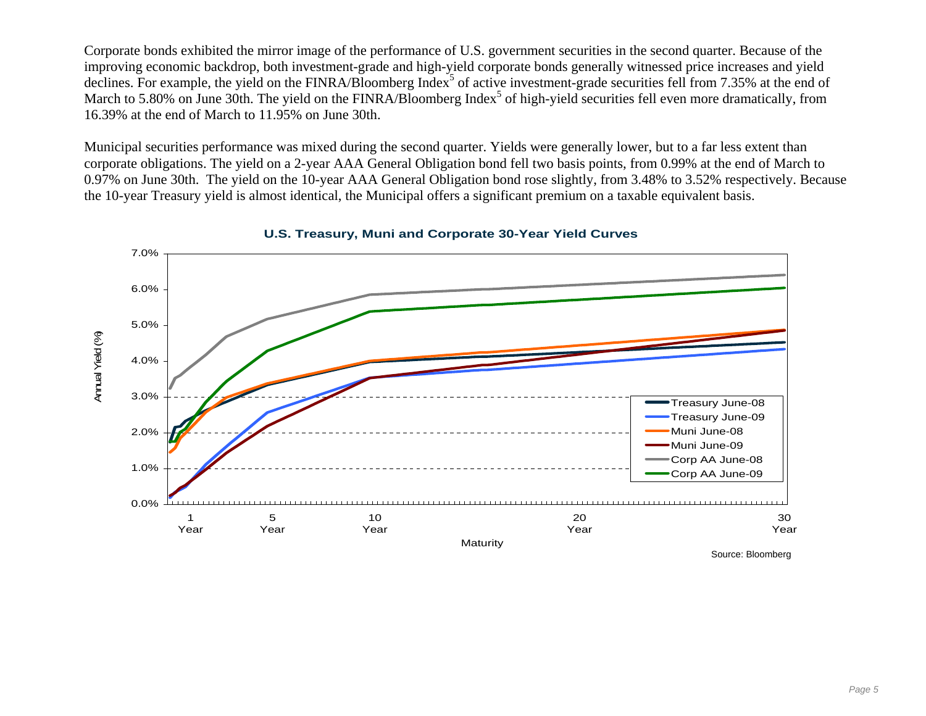Corporate bonds exhibited the mirror image of the performance of U.S. government securities in the second quarter. Because of the improving economic backdrop, both investment-grade and high-yield corporate bonds generally witnessed price increases and yield declines. For example, the yield on the FINRA/Bloomberg Index<sup>5</sup> of active investment-grade securities fell from 7.35% at the end of March to 5.80% on June 30th. The yield on the FINRA/Bloomberg Index<sup>5</sup> of high-yield securities fell even more dramatically, from 16.39% at the end of March to 11.95% on June 30th.

Municipal securities performance was mixed during the second quarter. Yields were generally lower, but to a far less extent than corporate obligations. The yield on a 2-year AAA General Obligation bond fell two basis points, from 0.99% at the end of March to 0.97% on June 30th. The yield on the 10-year AAA General Obligation bond rose slightly, from 3.48% to 3.52% respectively. Because the 10-year Treasury yield is almost identical, the Municipal offers a significant premium on a taxable equivalent basis.



**U.S. Treasury, Muni and Corporate 30-Year Yield Curves**

Source: Bloomberg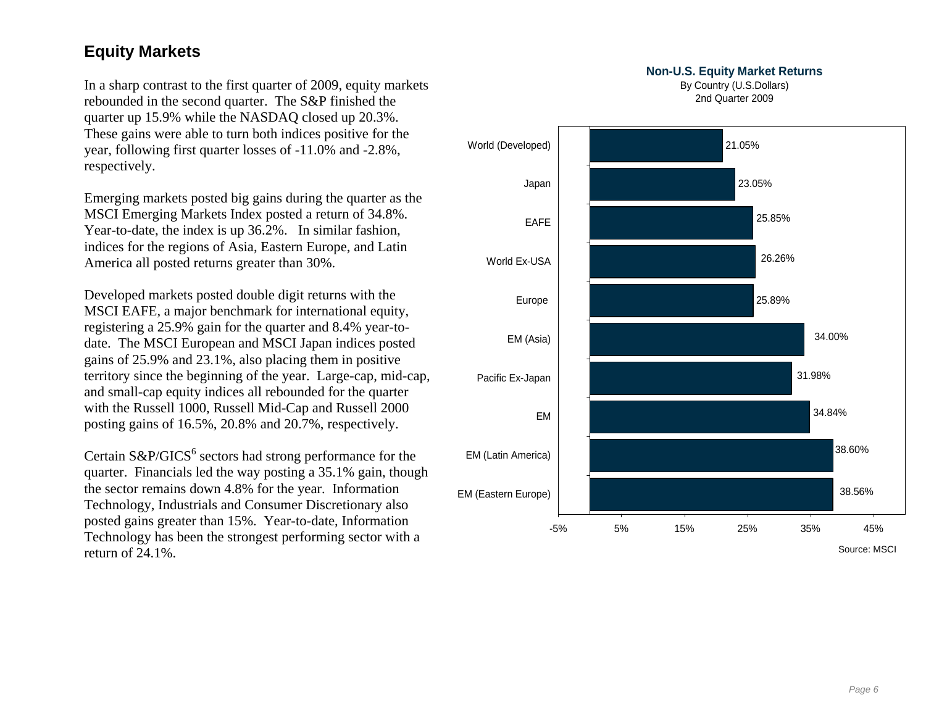# **Equity Markets**

In a sharp contrast to the first quarter of 2009, equity markets rebounded in the second quarter. The S&P finished the quarter up 15.9% while the NASDAQ closed up 20.3%. These gains were able to turn both indices positive for the year, following first quarter losses of -11.0% and -2.8%, respectively.

Emerging markets posted big gains during the quarter as the MSCI Emerging Markets Index posted a return of 34.8%. Year-to-date, the index is up 36.2%. In similar fashion, indices for the regions of Asia, Eastern Europe, and Latin America all posted returns greater than 30%.

Developed markets posted double digit returns with the MSCI EAFE, a major benchmark for international equity, registering a 25.9% gain for the quarter and 8.4% year-todate. The MSCI European and MSCI Japan indices posted gains of 25.9% and 23.1%, also placing them in positive territory since the beginning of the year. Large-cap, mid-cap, and small-cap equity indices all rebounded for the quarter with the Russell 1000, Russell Mid-Cap and Russell 2000 posting gains of 16.5%, 20.8% and 20.7%, respectively.

Certain  $S\&P/GICS^6$  sectors had strong performance for the quarter. Financials led the way posting a 35.1% gain, though the sector remains down 4.8% for the year. Information Technology, Industrials and Consumer Discretionary also posted gains greater than 15%. Year-to-date, Information Technology has been the strongest performing sector with a

### **Non-U.S. Equity Market Returns**

By Country (U.S.Dollars) 2nd Quarter 2009